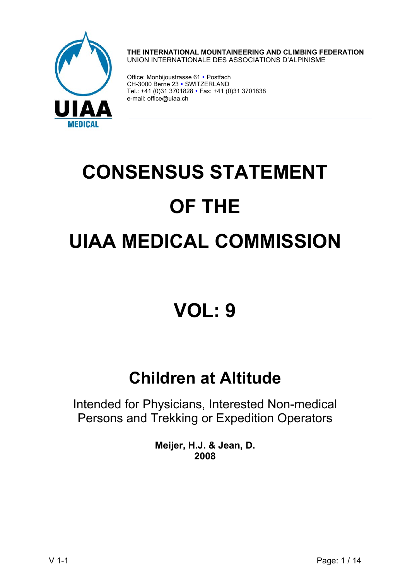

**THE INTERNATIONAL MOUNTAINEERING AND CLIMBING FEDERATION**  UNION INTERNATIONALE DES ASSOCIATIONS D'ALPINISME

Office: Monbijoustrasse 61 · Postfach CH-3000 Berne 23 · SWITZERLAND Tel.: +41 (0)31 3701828 • Fax: +41 (0)31 3701838 e-mail: office@uiaa.ch

# **CONSENSUS STATEMENT OF THE UIAA MEDICAL COMMISSION**

## **VOL: 9**

### **Children at Altitude**

Intended for Physicians, Interested Non-medical Persons and Trekking or Expedition Operators

> **Meijer, H.J. & Jean, D. 2008**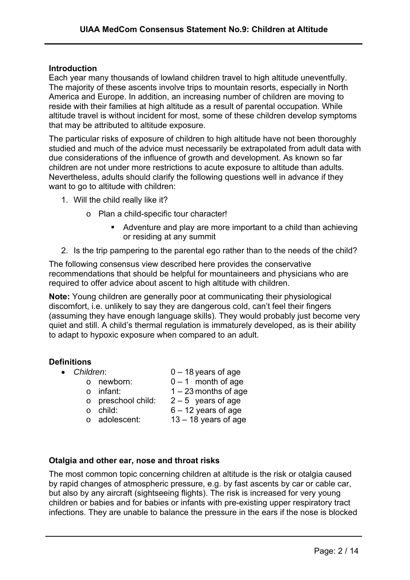#### **Introduction**

Each year many thousands of lowland children travel to high altitude uneventfully. The majority of these ascents involve trips to mountain resorts, especially in North America and Europe. In addition, an increasing number of children are moving to reside with their families at high altitude as a result of parental occupation. While altitude travel is without incident for most, some of these children develop symptoms that may be attributed to altitude exposure.

The particular risks of exposure of children to high altitude have not been thoroughly studied and much of the advice must necessarily be extrapolated from adult data with due considerations of the influence of growth and development. As known so far children are not under more restrictions to acute exposure to altitude than adults. Nevertheless, adults should clarify the following questions well in advance if they want to go to altitude with children:

- 1. Will the child really like it?
	- o Plan a child-specific tour character!
		- Adventure and play are more important to a child than achieving or residing at any summit
- 2. Is the trip pampering to the parental ego rather than to the needs of the child?

The following consensus view described here provides the conservative recommendations that should be helpful for mountaineers and physicians who are required to offer advice about ascent to high altitude with children.

**Note:** Young children are generally poor at communicating their physiological discomfort, i.e. unlikely to say they are dangerous cold, can't feel their fingers (assuming they have enough language skills). They would probably just become very quiet and still. A child's thermal regulation is immaturely developed, as is their ability to adapt to hypoxic exposure when compared to an adult.

#### **Definitions**

- 
- *Children*: 0 18 years of age
	- $\circ$  newborn:  $0 1$  month of age
	- $\circ$  infant:  $1 23$  months of age
	- o preschool child:  $2-5$  years of age<br>
	o child:  $6-12$  vears of age
	- $6 12$  years of age
	- $\circ$  adolescent: 13 18 years of age
- **Otalgia and other ear, nose and throat risks**

The most common topic concerning children at altitude is the risk or otalgia caused by rapid changes of atmospheric pressure, e.g. by fast ascents by car or cable car, but also by any aircraft (sightseeing flights). The risk is increased for very young children or babies and for babies or infants with pre-existing upper respiratory tract infections. They are unable to balance the pressure in the ears if the nose is blocked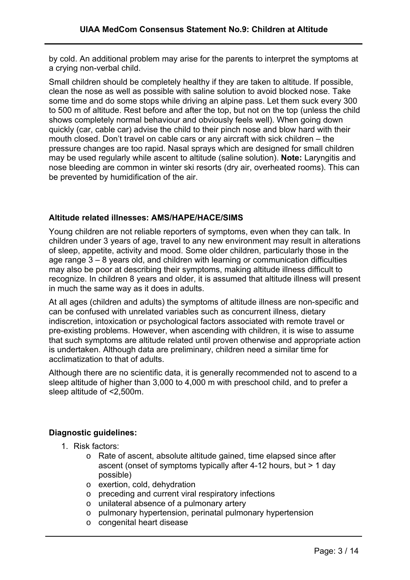by cold. An additional problem may arise for the parents to interpret the symptoms at a crying non-verbal child.

Small children should be completely healthy if they are taken to altitude. If possible, clean the nose as well as possible with saline solution to avoid blocked nose. Take some time and do some stops while driving an alpine pass. Let them suck every 300 to 500 m of altitude. Rest before and after the top, but not on the top (unless the child shows completely normal behaviour and obviously feels well). When going down quickly (car, cable car) advise the child to their pinch nose and blow hard with their mouth closed. Don't travel on cable cars or any aircraft with sick children – the pressure changes are too rapid. Nasal sprays which are designed for small children may be used regularly while ascent to altitude (saline solution). **Note:** Laryngitis and nose bleeding are common in winter ski resorts (dry air, overheated rooms). This can be prevented by humidification of the air.

#### **Altitude related illnesses: AMS/HAPE/HACE/SIMS**

Young children are not reliable reporters of symptoms, even when they can talk. In children under 3 years of age, travel to any new environment may result in alterations of sleep, appetite, activity and mood. Some older children, particularly those in the age range 3 – 8 years old, and children with learning or communication difficulties may also be poor at describing their symptoms, making altitude illness difficult to recognize. In children 8 years and older, it is assumed that altitude illness will present in much the same way as it does in adults.

At all ages (children and adults) the symptoms of altitude illness are non-specific and can be confused with unrelated variables such as concurrent illness, dietary indiscretion, intoxication or psychological factors associated with remote travel or pre-existing problems. However, when ascending with children, it is wise to assume that such symptoms are altitude related until proven otherwise and appropriate action is undertaken. Although data are preliminary, children need a similar time for acclimatization to that of adults.

Although there are no scientific data, it is generally recommended not to ascend to a sleep altitude of higher than 3,000 to 4,000 m with preschool child, and to prefer a sleep altitude of <2,500m.

#### **Diagnostic guidelines:**

- 1. Risk factors:
	- o Rate of ascent, absolute altitude gained, time elapsed since after ascent (onset of symptoms typically after 4-12 hours, but > 1 day possible)
	- o exertion, cold, dehydration
	- o preceding and current viral respiratory infections
	- o unilateral absence of a pulmonary artery
	- o pulmonary hypertension, perinatal pulmonary hypertension
	- o congenital heart disease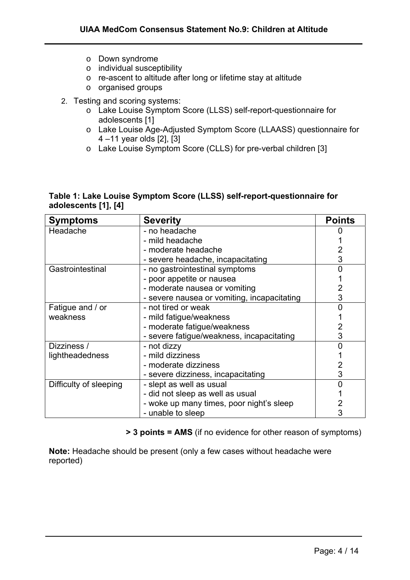- o Down syndrome
- o individual susceptibility
- o re-ascent to altitude after long or lifetime stay at altitude
- o organised groups
- 2. Testing and scoring systems:
	- o Lake Louise Symptom Score (LLSS) self-report-questionnaire for adolescents [1]
	- o Lake Louise Age-Adjusted Symptom Score (LLAASS) questionnaire for 4 –11 year olds [2], [3]
	- o Lake Louise Symptom Score (CLLS) for pre-verbal children [3]

#### **Table 1: Lake Louise Symptom Score (LLSS) self-report-questionnaire for adolescents [1], [4]**

| <b>Symptoms</b>        | <b>Severity</b>                             | <b>Points</b> |
|------------------------|---------------------------------------------|---------------|
| Headache               | - no headache                               |               |
|                        | - mild headache                             |               |
|                        | - moderate headache                         |               |
|                        | - severe headache, incapacitating           | 3             |
| Gastrointestinal       | - no gastrointestinal symptoms              |               |
|                        | - poor appetite or nausea                   |               |
|                        | - moderate nausea or vomiting               |               |
|                        | - severe nausea or vomiting, incapacitating | 3             |
| Fatigue and / or       | - not tired or weak                         |               |
| weakness               | - mild fatigue/weakness                     |               |
|                        | - moderate fatigue/weakness                 |               |
|                        | - severe fatigue/weakness, incapacitating   | 3             |
| Dizziness /            | - not dizzy                                 |               |
| lightheadedness        | - mild dizziness                            |               |
|                        | - moderate dizziness                        |               |
|                        | - severe dizziness, incapacitating          | 3             |
| Difficulty of sleeping | - slept as well as usual                    |               |
|                        | - did not sleep as well as usual            |               |
|                        | - woke up many times, poor night's sleep    |               |
|                        | - unable to sleep                           |               |

**> 3 points = AMS** (if no evidence for other reason of symptoms)

**Note:** Headache should be present (only a few cases without headache were reported)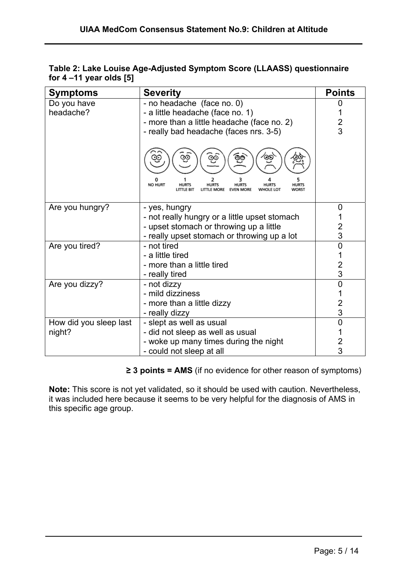| Table 2: Lake Louise Age-Adjusted Symptom Score (LLAASS) questionnaire |  |
|------------------------------------------------------------------------|--|
| for $4 - 11$ year olds $[5]$                                           |  |

| <b>Symptoms</b>        | <b>Severity</b>                                                                                                                    | <b>Points</b>           |
|------------------------|------------------------------------------------------------------------------------------------------------------------------------|-------------------------|
| Do you have            | - no headache (face no. 0)                                                                                                         | 0                       |
| headache?              | - a little headache (face no. 1)                                                                                                   |                         |
|                        | - more than a little headache (face no. 2)                                                                                         | $\overline{\mathbf{c}}$ |
|                        | - really bad headache (faces nrs. 3-5)                                                                                             | $\overline{3}$          |
|                        | NO HURT<br><b>HURTS</b><br>HURTS<br><b>HURTS</b><br><b>HURTS</b><br><b>HURTS</b><br><b>E MORE</b><br><b>EVEN MORE</b><br>WHOLE LOT |                         |
| Are you hungry?        | - yes, hungry                                                                                                                      | 0                       |
|                        | - not really hungry or a little upset stomach                                                                                      |                         |
|                        | - upset stomach or throwing up a little                                                                                            | 2                       |
|                        | - really upset stomach or throwing up a lot                                                                                        | 3                       |
| Are you tired?         | - not tired                                                                                                                        | 0                       |
|                        | - a little tired                                                                                                                   |                         |
|                        | - more than a little tired                                                                                                         | $\overline{2}$          |
|                        | - really tired                                                                                                                     | 3                       |
| Are you dizzy?         | - not dizzy                                                                                                                        | $\overline{0}$          |
|                        | - mild dizziness                                                                                                                   | 1                       |
|                        | - more than a little dizzy                                                                                                         | 2                       |
|                        | - really dizzy                                                                                                                     | 3                       |
| How did you sleep last | - slept as well as usual                                                                                                           | $\overline{0}$          |
| night?                 | - did not sleep as well as usual                                                                                                   |                         |
|                        | - woke up many times during the night                                                                                              | $\overline{c}$          |
|                        | - could not sleep at all                                                                                                           | 3                       |

**≥ 3 points = AMS** (if no evidence for other reason of symptoms)

**Note:** This score is not yet validated, so it should be used with caution. Nevertheless, it was included here because it seems to be very helpful for the diagnosis of AMS in this specific age group.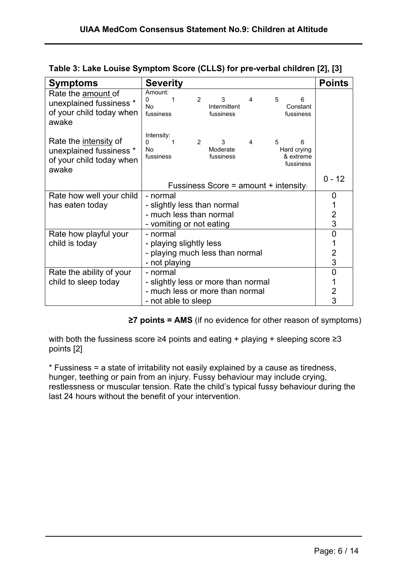| <b>Symptoms</b>                                                                              | <b>Severity</b>                                                                                                                         | <b>Points</b>  |
|----------------------------------------------------------------------------------------------|-----------------------------------------------------------------------------------------------------------------------------------------|----------------|
| Rate the amount of<br>unexplained fussiness *<br>of your child today when<br>awake           | Amount:<br>$\overline{2}$<br>3<br>5<br>4<br>6<br>0<br>1<br><b>No</b><br>Intermittent<br>Constant<br>fussiness<br>fussiness<br>fussiness |                |
| Rate the <i>intensity</i> of<br>unexplained fussiness *<br>of your child today when<br>awake | Intensity:<br>2<br>3<br>4<br>5<br>0<br>6<br>Moderate<br>No.<br>Hard crying<br>fussiness<br>fussiness<br>& extreme<br>fussiness          |                |
|                                                                                              | Fussiness Score = amount + intensity:                                                                                                   | $0 - 12$       |
| Rate how well your child                                                                     | - normal                                                                                                                                | 0              |
| has eaten today                                                                              | - slightly less than normal                                                                                                             |                |
|                                                                                              | - much less than normal                                                                                                                 | $\overline{2}$ |
|                                                                                              | - vomiting or not eating                                                                                                                | 3              |
| Rate how playful your                                                                        | - normal                                                                                                                                | 0              |
| child is today                                                                               | - playing slightly less                                                                                                                 |                |
|                                                                                              | - playing much less than normal                                                                                                         | $\overline{2}$ |
|                                                                                              | - not playing                                                                                                                           | 3              |
| Rate the ability of your                                                                     | - normal                                                                                                                                | 0              |
| child to sleep today                                                                         | - slightly less or more than normal                                                                                                     |                |
|                                                                                              | - much less or more than normal                                                                                                         | 2              |
|                                                                                              | - not able to sleep                                                                                                                     | 3              |

|  | Table 3: Lake Louise Symptom Score (CLLS) for pre-verbal children [2], [3] |
|--|----------------------------------------------------------------------------|
|--|----------------------------------------------------------------------------|

**≥7 points = AMS** (if no evidence for other reason of symptoms)

with both the fussiness score ≥4 points and eating + playing + sleeping score ≥3 points [2]

\* Fussiness = a state of irritability not easily explained by a cause as tiredness, hunger, teething or pain from an injury. Fussy behaviour may include crying, restlessness or muscular tension. Rate the child's typical fussy behaviour during the last 24 hours without the benefit of your intervention.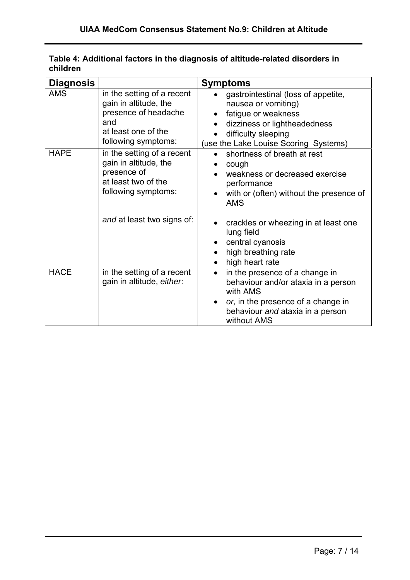| <b>Diagnosis</b> |                                                                                                                                  | <b>Symptoms</b>                                                                                                                                                                         |
|------------------|----------------------------------------------------------------------------------------------------------------------------------|-----------------------------------------------------------------------------------------------------------------------------------------------------------------------------------------|
| <b>AMS</b>       | in the setting of a recent<br>gain in altitude, the<br>presence of headache<br>and<br>at least one of the<br>following symptoms: | gastrointestinal (loss of appetite,<br>nausea or vomiting)<br>fatigue or weakness<br>dizziness or lightheadedness<br>difficulty sleeping<br>(use the Lake Louise Scoring Systems)       |
| <b>HAPE</b>      | in the setting of a recent<br>gain in altitude, the<br>presence of<br>at least two of the<br>following symptoms:                 | shortness of breath at rest<br>cough<br>weakness or decreased exercise<br>performance<br>with or (often) without the presence of<br><b>AMS</b>                                          |
|                  | and at least two signs of:                                                                                                       | crackles or wheezing in at least one<br>lung field<br>central cyanosis<br>high breathing rate<br>high heart rate                                                                        |
| <b>HACE</b>      | in the setting of a recent<br>gain in altitude, either.                                                                          | in the presence of a change in<br>$\bullet$<br>behaviour and/or ataxia in a person<br>with AMS<br>or, in the presence of a change in<br>behaviour and ataxia in a person<br>without AMS |

#### **Table 4: Additional factors in the diagnosis of altitude-related disorders in children**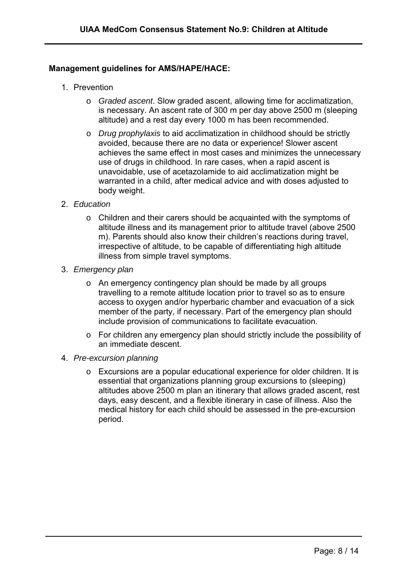#### **Management guidelines for AMS/HAPE/HACE:**

- 1. Prevention
	- o *Graded ascent*. Slow graded ascent, allowing time for acclimatization, is necessary. An ascent rate of 300 m per day above 2500 m (sleeping altitude) and a rest day every 1000 m has been recommended.
	- o *Drug prophylaxis* to aid acclimatization in childhood should be strictly avoided, because there are no data or experience! Slower ascent achieves the same effect in most cases and minimizes the unnecessary use of drugs in childhood. In rare cases, when a rapid ascent is unavoidable, use of acetazolamide to aid acclimatization might be warranted in a child, after medical advice and with doses adjusted to body weight.
- 2. *Education*
	- o Children and their carers should be acquainted with the symptoms of altitude illness and its management prior to altitude travel (above 2500 m). Parents should also know their children's reactions during travel, irrespective of altitude, to be capable of differentiating high altitude illness from simple travel symptoms.
- 3. *Emergency plan*
	- o An emergency contingency plan should be made by all groups travelling to a remote altitude location prior to travel so as to ensure access to oxygen and/or hyperbaric chamber and evacuation of a sick member of the party, if necessary. Part of the emergency plan should include provision of communications to facilitate evacuation.
	- o For children any emergency plan should strictly include the possibility of an immediate descent.
- 4. *Pre-excursion planning*
	- o Excursions are a popular educational experience for older children. It is essential that organizations planning group excursions to (sleeping) altitudes above 2500 m plan an itinerary that allows graded ascent, rest days, easy descent, and a flexible itinerary in case of illness. Also the medical history for each child should be assessed in the pre-excursion period.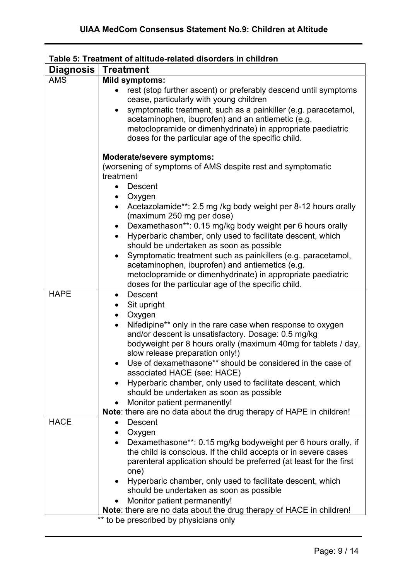| <b>Diagnosis</b> | <b>Treatment</b>                                                                                                                                                                                                                                       |  |
|------------------|--------------------------------------------------------------------------------------------------------------------------------------------------------------------------------------------------------------------------------------------------------|--|
| <b>AMS</b>       | <b>Mild symptoms:</b>                                                                                                                                                                                                                                  |  |
|                  | rest (stop further ascent) or preferably descend until symptoms<br>cease, particularly with young children                                                                                                                                             |  |
|                  | symptomatic treatment, such as a painkiller (e.g. paracetamol,<br>$\bullet$<br>acetaminophen, ibuprofen) and an antiemetic (e.g.<br>metoclopramide or dimenhydrinate) in appropriate paediatric<br>doses for the particular age of the specific child. |  |
|                  | Moderate/severe symptoms:<br>(worsening of symptoms of AMS despite rest and symptomatic<br>treatment                                                                                                                                                   |  |
|                  | Descent                                                                                                                                                                                                                                                |  |
|                  | Oxygen<br>$\bullet$                                                                                                                                                                                                                                    |  |
|                  | Acetazolamide**: 2.5 mg /kg body weight per 8-12 hours orally<br>(maximum 250 mg per dose)                                                                                                                                                             |  |
|                  | Dexamethason**: 0.15 mg/kg body weight per 6 hours orally<br>$\bullet$<br>Hyperbaric chamber, only used to facilitate descent, which<br>$\bullet$<br>should be undertaken as soon as possible                                                          |  |
|                  | Symptomatic treatment such as painkillers (e.g. paracetamol,<br>acetaminophen, ibuprofen) and antiemetics (e.g.<br>metoclopramide or dimenhydrinate) in appropriate paediatric<br>doses for the particular age of the specific child.                  |  |
| <b>HAPE</b>      | Descent<br>$\bullet$                                                                                                                                                                                                                                   |  |
|                  | Sit upright                                                                                                                                                                                                                                            |  |
|                  | Oxygen                                                                                                                                                                                                                                                 |  |
|                  | Nifedipine** only in the rare case when response to oxygen<br>$\bullet$<br>and/or descent is unsatisfactory. Dosage: 0.5 mg/kg<br>bodyweight per 8 hours orally (maximum 40mg for tablets / day,                                                       |  |
|                  | slow release preparation only!)                                                                                                                                                                                                                        |  |
|                  | Use of dexamethasone** should be considered in the case of<br>associated HACE (see: HACE)                                                                                                                                                              |  |
|                  | Hyperbaric chamber, only used to facilitate descent, which<br>should be undertaken as soon as possible                                                                                                                                                 |  |
|                  | Monitor patient permanently!<br>$\bullet$                                                                                                                                                                                                              |  |
| <b>HACE</b>      | Note: there are no data about the drug therapy of HAPE in children!<br>Descent                                                                                                                                                                         |  |
|                  | $\bullet$<br>Oxygen                                                                                                                                                                                                                                    |  |
|                  | Dexamethasone**: 0.15 mg/kg bodyweight per 6 hours orally, if<br>$\bullet$                                                                                                                                                                             |  |
|                  | the child is conscious. If the child accepts or in severe cases                                                                                                                                                                                        |  |
|                  | parenteral application should be preferred (at least for the first                                                                                                                                                                                     |  |
|                  | one)                                                                                                                                                                                                                                                   |  |
|                  | Hyperbaric chamber, only used to facilitate descent, which<br>$\bullet$                                                                                                                                                                                |  |
|                  | should be undertaken as soon as possible                                                                                                                                                                                                               |  |
|                  | Monitor patient permanently!                                                                                                                                                                                                                           |  |
|                  | Note: there are no data about the drug therapy of HACE in children!<br>$***$<br>to be prescribed by physicians only                                                                                                                                    |  |

#### **Table 5: Treatment of altitude-related disorders in children**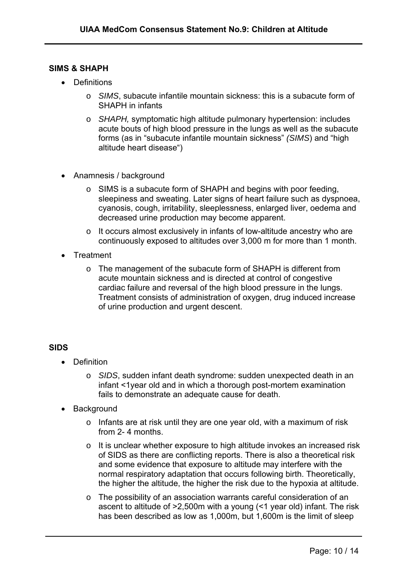#### **SIMS & SHAPH**

- Definitions
	- o *SIMS*, subacute infantile mountain sickness: this is a subacute form of SHAPH in infants
	- o *SHAPH,* symptomatic high altitude pulmonary hypertension: includes acute bouts of high blood pressure in the lungs as well as the subacute forms (as in "subacute infantile mountain sickness" *(SIMS*) and "high altitude heart disease")
- Anamnesis / background
	- o SIMS is a subacute form of SHAPH and begins with poor feeding, sleepiness and sweating. Later signs of heart failure such as dyspnoea, cyanosis, cough, irritability, sleeplessness, enlarged liver, oedema and decreased urine production may become apparent.
	- o It occurs almost exclusively in infants of low-altitude ancestry who are continuously exposed to altitudes over 3,000 m for more than 1 month.
- Treatment
	- o The management of the subacute form of SHAPH is different from acute mountain sickness and is directed at control of congestive cardiac failure and reversal of the high blood pressure in the lungs. Treatment consists of administration of oxygen, drug induced increase of urine production and urgent descent.

#### **SIDS**

- Definition
	- o *SIDS*, sudden infant death syndrome: sudden unexpected death in an infant <1year old and in which a thorough post-mortem examination fails to demonstrate an adequate cause for death.
- Background
	- o Infants are at risk until they are one year old, with a maximum of risk from 2- 4 months.
	- o It is unclear whether exposure to high altitude invokes an increased risk of SIDS as there are conflicting reports. There is also a theoretical risk and some evidence that exposure to altitude may interfere with the normal respiratory adaptation that occurs following birth. Theoretically, the higher the altitude, the higher the risk due to the hypoxia at altitude.
	- o The possibility of an association warrants careful consideration of an ascent to altitude of >2,500m with a young (<1 year old) infant. The risk has been described as low as 1,000m, but 1,600m is the limit of sleep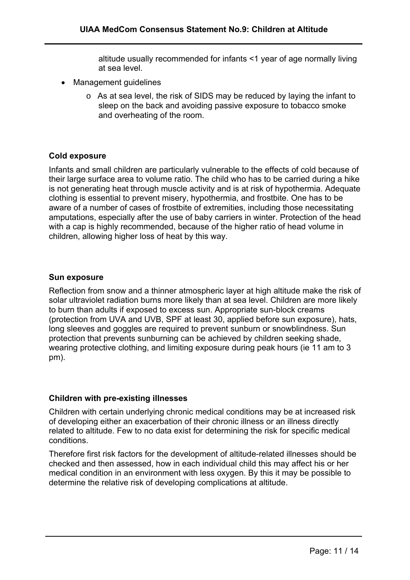altitude usually recommended for infants <1 year of age normally living at sea level.

- Management guidelines
	- o As at sea level, the risk of SIDS may be reduced by laying the infant to sleep on the back and avoiding passive exposure to tobacco smoke and overheating of the room.

#### **Cold exposure**

Infants and small children are particularly vulnerable to the effects of cold because of their large surface area to volume ratio. The child who has to be carried during a hike is not generating heat through muscle activity and is at risk of hypothermia. Adequate clothing is essential to prevent misery, hypothermia, and frostbite. One has to be aware of a number of cases of frostbite of extremities, including those necessitating amputations, especially after the use of baby carriers in winter. Protection of the head with a cap is highly recommended, because of the higher ratio of head volume in children, allowing higher loss of heat by this way.

#### **Sun exposure**

Reflection from snow and a thinner atmospheric layer at high altitude make the risk of solar ultraviolet radiation burns more likely than at sea level. Children are more likely to burn than adults if exposed to excess sun. Appropriate sun-block creams (protection from UVA and UVB, SPF at least 30, applied before sun exposure), hats, long sleeves and goggles are required to prevent sunburn or snowblindness. Sun protection that prevents sunburning can be achieved by children seeking shade, wearing protective clothing, and limiting exposure during peak hours (ie 11 am to 3 pm).

#### **Children with pre-existing illnesses**

Children with certain underlying chronic medical conditions may be at increased risk of developing either an exacerbation of their chronic illness or an illness directly related to altitude. Few to no data exist for determining the risk for specific medical conditions.

Therefore first risk factors for the development of altitude-related illnesses should be checked and then assessed, how in each individual child this may affect his or her medical condition in an environment with less oxygen. By this it may be possible to determine the relative risk of developing complications at altitude.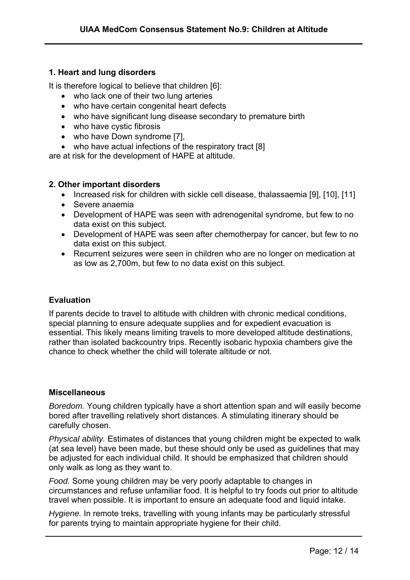#### **1. Heart and lung disorders**

It is therefore logical to believe that children [6]:

- who lack one of their two lung arteries
- who have certain congenital heart defects
- who have significant lung disease secondary to premature birth
- who have cystic fibrosis
- who have Down syndrome [7],
- who have actual infections of the respiratory tract [8]

are at risk for the development of HAPE at altitude.

#### **2. Other important disorders**

- Increased risk for children with sickle cell disease, thalassaemia [9], [10], [11]
- Severe anaemia
- Development of HAPE was seen with adrenogenital syndrome, but few to no data exist on this subject.
- Development of HAPE was seen after chemotherpay for cancer, but few to no data exist on this subject.
- Recurrent seizures were seen in children who are no longer on medication at as low as 2,700m, but few to no data exist on this subject.

#### **Evaluation**

If parents decide to travel to altitude with children with chronic medical conditions, special planning to ensure adequate supplies and for expedient evacuation is essential. This likely means limiting travels to more developed altitude destinations, rather than isolated backcountry trips. Recently isobaric hypoxia chambers give the chance to check whether the child will tolerate altitude or not.

#### **Miscellaneous**

*Boredom.* Young children typically have a short attention span and will easily become bored after travelling relatively short distances. A stimulating itinerary should be carefully chosen.

*Physical ability.* Estimates of distances that young children might be expected to walk (at sea level) have been made, but these should only be used as guidelines that may be adjusted for each individual child. It should be emphasized that children should only walk as long as they want to.

*Food.* Some young children may be very poorly adaptable to changes in circumstances and refuse unfamiliar food. It is helpful to try foods out prior to altitude travel when possible. It is important to ensure an adequate food and liquid intake.

*Hygiene.* In remote treks, travelling with young infants may be particularly stressful for parents trying to maintain appropriate hygiene for their child.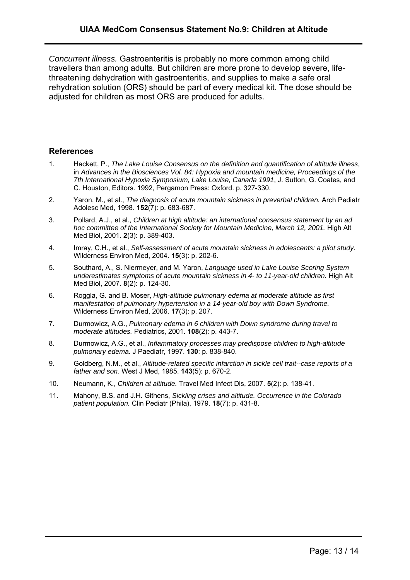*Concurrent illness.* Gastroenteritis is probably no more common among child travellers than among adults. But children are more prone to develop severe, lifethreatening dehydration with gastroenteritis, and supplies to make a safe oral rehydration solution (ORS) should be part of every medical kit. The dose should be adjusted for children as most ORS are produced for adults.

#### **References**

- 1. Hackett, P., *The Lake Louise Consensus on the definition and quantification of altitude illness*, in *Advances in the Biosciences Vol. 84: Hypoxia and mountain medicine, Proceedings of the 7th International Hypoxia Symposium, Lake Louise, Canada 1991*, J. Sutton, G. Coates, and C. Houston, Editors. 1992, Pergamon Press: Oxford. p. 327-330.
- 2. Yaron, M., et al., *The diagnosis of acute mountain sickness in preverbal children.* Arch Pediatr Adolesc Med, 1998. **152**(7): p. 683-687.
- 3. Pollard, A.J., et al., *Children at high altitude: an international consensus statement by an ad hoc committee of the International Society for Mountain Medicine, March 12, 2001.* High Alt Med Biol, 2001. **2**(3): p. 389-403.
- 4. Imray, C.H., et al., *Self-assessment of acute mountain sickness in adolescents: a pilot study.* Wilderness Environ Med, 2004. **15**(3): p. 202-6.
- 5. Southard, A., S. Niermeyer, and M. Yaron, *Language used in Lake Louise Scoring System underestimates symptoms of acute mountain sickness in 4- to 11-year-old children.* High Alt Med Biol, 2007. **8**(2): p. 124-30.
- 6. Roggla, G. and B. Moser, *High-altitude pulmonary edema at moderate altitude as first manifestation of pulmonary hypertension in a 14-year-old boy with Down Syndrome.* Wilderness Environ Med, 2006. **17**(3): p. 207.
- 7. Durmowicz, A.G., *Pulmonary edema in 6 children with Down syndrome during travel to moderate altitudes.* Pediatrics, 2001. **108**(2): p. 443-7.
- 8. Durmowicz, A.G., et al., *Inflammatory processes may predispose children to high-altitude pulmonary edema.* J Paediatr, 1997. **130**: p. 838-840.
- 9. Goldberg, N.M., et al., *Altitude-related specific infarction in sickle cell trait--case reports of a father and son.* West J Med, 1985. **143**(5): p. 670-2.
- 10. Neumann, K., *Children at altitude.* Travel Med Infect Dis, 2007. **5**(2): p. 138-41.
- 11. Mahony, B.S. and J.H. Githens, *Sickling crises and altitude. Occurrence in the Colorado patient population.* Clin Pediatr (Phila), 1979. **18**(7): p. 431-8.